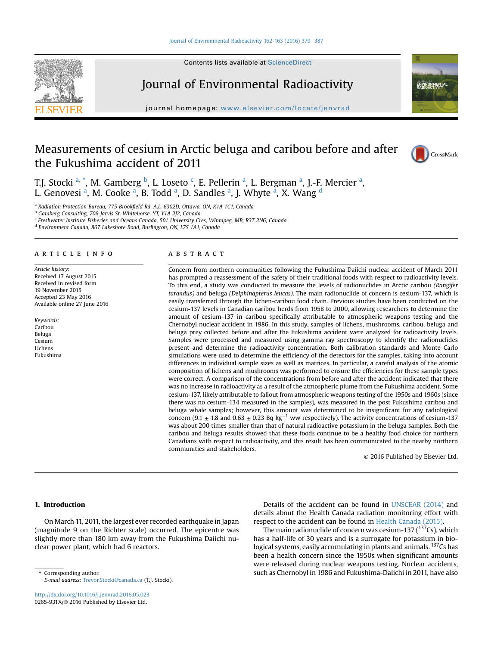#### [Journal of Environmental Radioactivity 162-163 \(2016\) 379](http://dx.doi.org/10.1016/j.jenvrad.2016.05.023)-[387](http://dx.doi.org/10.1016/j.jenvrad.2016.05.023)





Journal of Environmental Radioactivity

journal homepage: [www.elsevier.com/locate/jenvrad](http://www.elsevier.com/locate/jenvrad)

# Measurements of cesium in Arctic beluga and caribou before and after the Fukushima accident of 2011





T.J. Stocki <sup>a, \*</sup>, M. Gamberg <sup>b</sup>, L. Loseto <sup>c</sup>, E. Pellerin <sup>a</sup>, L. Bergman <sup>a</sup>, J.-F. Mercier <sup>a</sup>, L. Genovesi <sup>a</sup>, M. Cooke <sup>a</sup>, B. Todd <sup>a</sup>, D. Sandles <sup>a</sup>, J. Whyte <sup>a</sup>, X. Wang <sup>d</sup>

<sup>a</sup> Radiation Protection Bureau, 775 Brookfield Rd, A.L. 6302D, Ottawa, ON, K1A 1C1, Canada

<sup>b</sup> Gamberg Consulting, 708 Jarvis St. Whitehorse, YT, Y1A 2J2, Canada

<sup>c</sup> Freshwater Institute Fisheries and Oceans Canada, 501 University Cres, Winnipeg, MB, R3T 2N6, Canada

<sup>d</sup> Environment Canada, 867 Lakeshore Road, Burlington, ON, L7S 1A1, Canada

# article info

Article history: Received 17 August 2015 Received in revised form 19 November 2015 Accepted 23 May 2016 Available online 27 June 2016

Keywords: Caribou Beluga Cesium Lichens Fukushima

## **ABSTRACT**

Concern from northern communities following the Fukushima Daiichi nuclear accident of March 2011 has prompted a reassessment of the safety of their traditional foods with respect to radioactivity levels. To this end, a study was conducted to measure the levels of radionuclides in Arctic caribou (Rangifer tarandus) and beluga (Delphinapterus leucas). The main radionuclide of concern is cesium-137, which is easily transferred through the lichen-caribou food chain. Previous studies have been conducted on the cesium-137 levels in Canadian caribou herds from 1958 to 2000, allowing researchers to determine the amount of cesium-137 in caribou specifically attributable to atmospheric weapons testing and the Chernobyl nuclear accident in 1986. In this study, samples of lichens, mushrooms, caribou, beluga and beluga prey collected before and after the Fukushima accident were analyzed for radioactivity levels. Samples were processed and measured using gamma ray spectroscopy to identify the radionuclides present and determine the radioactivity concentration. Both calibration standards and Monte Carlo simulations were used to determine the efficiency of the detectors for the samples, taking into account differences in individual sample sizes as well as matrices. In particular, a careful analysis of the atomic composition of lichens and mushrooms was performed to ensure the efficiencies for these sample types were correct. A comparison of the concentrations from before and after the accident indicated that there was no increase in radioactivity as a result of the atmospheric plume from the Fukushima accident. Some cesium-137, likely attributable to fallout from atmospheric weapons testing of the 1950s and 1960s (since there was no cesium-134 measured in the samples), was measured in the post Fukushima caribou and beluga whale samples; however, this amount was determined to be insignificant for any radiological concern (9.1  $\pm$  1.8 and 0.63  $\pm$  0.23 Bq kg<sup>-1</sup> ww respectively). The activity concentrations of cesium-137 was about 200 times smaller than that of natural radioactive potassium in the beluga samples. Both the caribou and beluga results showed that these foods continue to be a healthy food choice for northern Canadians with respect to radioactivity, and this result has been communicated to the nearby northern communities and stakeholders.

© 2016 Published by Elsevier Ltd.

# 1. Introduction

On March 11, 2011, the largest ever recorded earthquake in Japan (magnitude 9 on the Richter scale) occurred. The epicentre was slightly more than 180 km away from the Fukushima Daiichi nuclear power plant, which had 6 reactors.

E-mail address: [Trevor.Stocki@canada.ca](mailto:Trevor.Stocki@canada.ca) (T.J. Stocki).

<http://dx.doi.org/10.1016/j.jenvrad.2016.05.023> 0265-931X/© 2016 Published by Elsevier Ltd.

Details of the accident can be found in [UNSCEAR \(2014\)](#page-8-0) and details about the Health Canada radiation monitoring effort with respect to the accident can be found in [Health Canada \(2015\).](#page-7-0)

The main radionuclide of concern was cesium-137 ( $137Cs$ ), which has a half-life of 30 years and is a surrogate for potassium in biological systems, easily accumulating in plants and animals. <sup>137</sup>Cs has been a health concern since the 1950s when significant amounts were released during nuclear weapons testing. Nuclear accidents, Express of the Corresponding author. Such as Chernobyl in 1986 and Fukushima-Daiichi in 2011, have also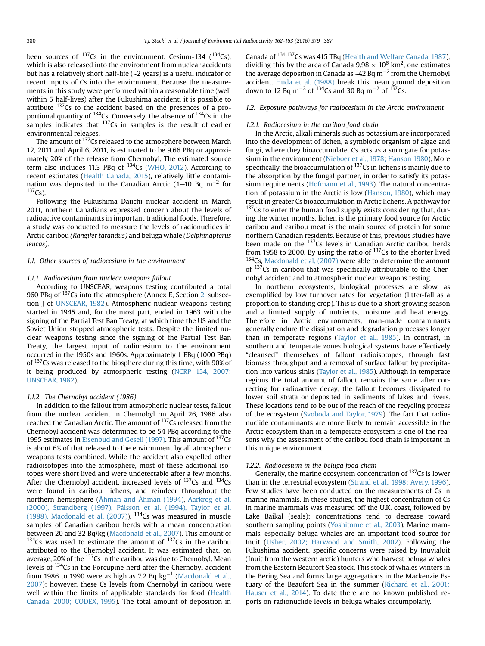been sources of  $^{137}$ Cs in the environment. Cesium-134 ( $^{134}$ Cs), which is also released into the environment from nuclear accidents but has a relatively short half-life (~2 years) is a useful indicator of recent inputs of Cs into the environment. Because the measurements in this study were performed within a reasonable time (well within 5 half-lives) after the Fukushima accident, it is possible to attribute 137Cs to the accident based on the presences of a proportional quantity of <sup>134</sup>Cs. Conversely, the absence of <sup>134</sup>Cs in the samples indicates that <sup>137</sup>Cs in samples is the result of earlier environmental releases.

The amount of <sup>137</sup>Cs released to the atmosphere between March 12, 2011 and April 6, 2011, is estimated to be 9.66 PBq or approximately 20% of the release from Chernobyl. The estimated source term also includes 11.3 PBq of 134Cs ([WHO, 2012](#page-8-0)). According to recent estimates [\(Health Canada, 2015\)](#page-7-0), relatively little contamination was deposited in the Canadian Arctic (1–10 Bq  $m^{-2}$  for  $137Cs$ ).

Following the Fukushima Daiichi nuclear accident in March 2011, northern Canadians expressed concern about the levels of radioactive contaminants in important traditional foods. Therefore, a study was conducted to measure the levels of radionuclides in Arctic caribou (Rangifer tarandus) and beluga whale (Delphinapterus leucas).

## 1.1. Other sources of radiocesium in the environment

### 1.1.1. Radiocesium from nuclear weapons fallout

According to UNSCEAR, weapons testing contributed a total 960 PBq of <sup>137</sup>Cs into the atmosphere (Annex E, Section [2,](#page-2-0) subsection J of [UNSCEAR, 1982\)](#page-8-0). Atmospheric nuclear weapons testing started in 1945 and, for the most part, ended in 1963 with the signing of the Partial Test Ban Treaty, at which time the US and the Soviet Union stopped atmospheric tests. Despite the limited nuclear weapons testing since the signing of the Partial Test Ban Treaty, the largest input of radiocesium to the environment occurred in the 1950s and 1960s. Approximately 1 EBq (1000 PBq) of 137Cs was released to the biosphere during this time, with 90% of it being produced by atmospheric testing [\(NCRP 154, 2007;](#page-8-0) [UNSCEAR, 1982](#page-8-0)).

### 1.1.2. The Chernobyl accident (1986)

In addition to the fallout from atmospheric nuclear tests, fallout from the nuclear accident in Chernobyl on April 26, 1986 also reached the Canadian Arctic. The amount of <sup>137</sup>Cs released from the Chernobyl accident was determined to be 54 PBq according to the 1995 estimates in [Eisenbud and Gesell \(1997\).](#page-7-0) This amount of <sup>137</sup>Cs is about 6% of that released to the environment by all atmospheric weapons tests combined. While the accident also expelled other radioisotopes into the atmosphere, most of these additional isotopes were short lived and were undetectable after a few months. After the Chernobyl accident, increased levels of  $^{137}Cs$  and  $^{134}Cs$ were found in caribou, lichens, and reindeer throughout the northern hemisphere [\(Åhman and Åhman \(1994\)](#page-7-0), [Aarkrog et al.](#page-7-0) [\(2000\), Strandberg \(1997\), P](#page-7-0) [alsson et al. \(1994\), Taylor et al.](#page-7-0) [\(1988\), Macdonald et al. \(2007\)\)](#page-7-0). 134Cs was measured in muscle samples of Canadian caribou herds with a mean concentration between 20 and 32 Bq/kg [\(Macdonald et al., 2007\)](#page-8-0). This amount of  $134Cs$  was used to estimate the amount of  $137Cs$  in the caribou attributed to the Chernobyl accident. It was estimated that, on average, 20% of the <sup>137</sup>Cs in the caribou was due to Chernobyl. Mean levels of 134Cs in the Porcupine herd after the Chernobyl accident from 1986 to 1990 were as high as 7.2 Bq  $kg^{-1}$  ([Macdonald et al.,](#page-8-0) [2007\)](#page-8-0); however, these Cs levels from Chernobyl in caribou were well within the limits of applicable standards for food ([Health](#page-7-0) [Canada, 2000; CODEX, 1995](#page-7-0)). The total amount of deposition in Canada of 134,137Cs was 415 TBq ([Health and Welfare Canada, 1987\)](#page-7-0), dividing this by the area of Canada 9.98  $\times$  10<sup>6</sup> km<sup>2</sup>, one estimates the average deposition in Canada as ~42 Bq  $m^{-2}$  from the Chernobyl accident. [Huda et al. \(1988\)](#page-7-0) break this mean ground deposition down to 12 Bq m<sup>-2</sup> of <sup>134</sup>Cs and 30 Bq m<sup>-2</sup> of <sup>137</sup>Cs.

# 1.2. Exposure pathways for radiocesium in the Arctic environment

# 1.2.1. Radiocesium in the caribou food chain

In the Arctic, alkali minerals such as potassium are incorporated into the development of lichen, a symbiotic organism of algae and fungi, where they bioaccumulate. Cs acts as a surrogate for potassium in the environment [\(Nieboer et al., 1978; Hanson 1980\)](#page-8-0). More specifically, the bioaccumulation of  $137$ Cs in lichens is mainly due to the absorption by the fungal partner, in order to satisfy its potas-sium requirements [\(Hofmann et al., 1993](#page-7-0)). The natural concentration of potassium in the Arctic is low [\(Hanson, 1980\)](#page-7-0), which may result in greater Cs bioaccumulation in Arctic lichens. A pathway for  $137$ Cs to enter the human food supply exists considering that, during the winter months, lichen is the primary food source for Arctic caribou and caribou meat is the main source of protein for some northern Canadian residents. Because of this, previous studies have been made on the  $137$ Cs levels in Canadian Arctic caribou herds from 1958 to 2000. By using the ratio of  $137$ Cs to the shorter lived  $134Cs$ , [Macdonald et al. \(2007\)](#page-8-0) were able to determine the amount of 137Cs in caribou that was specifically attributable to the Chernobyl accident and to atmospheric nuclear weapons testing.

In northern ecosystems, biological processes are slow, as exemplified by low turnover rates for vegetation (litter-fall as a proportion to standing crop). This is due to a short growing season and a limited supply of nutrients, moisture and heat energy. Therefore in Arctic environments, man-made contaminants generally endure the dissipation and degradation processes longer than in temperate regions [\(Taylor et al., 1985\)](#page-8-0). In contrast, in southern and temperate zones biological systems have effectively "cleansed" themselves of fallout radioisotopes, through fast biomass throughput and a removal of surface fallout by precipitation into various sinks [\(Taylor et al., 1985\)](#page-8-0). Although in temperate regions the total amount of fallout remains the same after correcting for radioactive decay, the fallout becomes dissipated to lower soil strata or deposited in sediments of lakes and rivers. These locations tend to be out of the reach of the recycling process of the ecosystem ([Svoboda and Taylor, 1979](#page-8-0)). The fact that radionuclide contaminants are more likely to remain accessible in the Arctic ecosystem than in a temperate ecosystem is one of the reasons why the assessment of the caribou food chain is important in this unique environment.

# 1.2.2. Radiocesium in the beluga food chain

Generally, the marine ecosystem concentration of  $137$ Cs is lower than in the terrestrial ecosystem [\(Strand et al., 1998; Avery, 1996\)](#page-8-0). Few studies have been conducted on the measurements of Cs in marine mammals. In these studies, the highest concentration of Cs in marine mammals was measured off the U.K. coast, followed by Lake Baikal (seals); concentrations tend to decrease toward southern sampling points [\(Yoshitome et al., 2003](#page-8-0)). Marine mammals, especially beluga whales are an important food source for Inuit [\(Usher, 2002; Harwood and Smith, 2002](#page-8-0)). Following the Fukushima accident, specific concerns were raised by Inuvialuit (Inuit from the western arctic) hunters who harvest beluga whales from the Eastern Beaufort Sea stock. This stock of whales winters in the Bering Sea and forms large aggregations in the Mackenzie Estuary of the Beaufort Sea in the summer ([Richard et al., 2001;](#page-8-0) [Hauser et al., 2014\)](#page-8-0). To date there are no known published reports on radionuclide levels in beluga whales circumpolarly.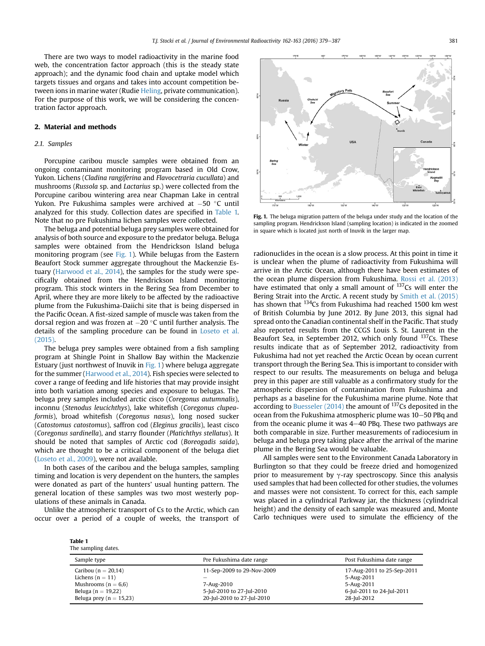<span id="page-2-0"></span>There are two ways to model radioactivity in the marine food web, the concentration factor approach (this is the steady state approach); and the dynamic food chain and uptake model which targets tissues and organs and takes into account competition between ions in marine water (Rudie [Heling,](#page-7-0) private communication). For the purpose of this work, we will be considering the concentration factor approach.

# 2. Material and methods

# 2.1. Samples

Porcupine caribou muscle samples were obtained from an ongoing contaminant monitoring program based in Old Crow, Yukon. Lichens (Cladina rangiferina and Flavocetraria cucullata) and mushrooms (Russola sp. and Lactarius sp.) were collected from the Porcupine caribou wintering area near Chapman Lake in central Yukon. Pre Fukushima samples were archived at  $-50$  °C until analyzed for this study. Collection dates are specified in Table 1. Note that no pre Fukushima lichen samples were collected.

The beluga and potential beluga prey samples were obtained for analysis of both source and exposure to the predator beluga. Beluga samples were obtained from the Hendrickson Island beluga monitoring program (see Fig. 1). While belugas from the Eastern Beaufort Stock summer aggregate throughout the Mackenzie Estuary [\(Harwood et al., 2014](#page-7-0)), the samples for the study were specifically obtained from the Hendrickson Island monitoring program. This stock winters in the Bering Sea from December to April, where they are more likely to be affected by the radioactive plume from the Fukushima-Daiichi site that is being dispersed in the Pacific Ocean. A fist-sized sample of muscle was taken from the dorsal region and was frozen at  $-20$  °C until further analysis. The details of the sampling procedure can be found in [Loseto et al.](#page-8-0) [\(2015\).](#page-8-0)

The beluga prey samples were obtained from a fish sampling program at Shingle Point in Shallow Bay within the Mackenzie Estuary (just northwest of Inuvik in Fig. 1) where beluga aggregate for the summer ([Harwood et al., 2014\)](#page-7-0). Fish species were selected to cover a range of feeding and life histories that may provide insight into both variation among species and exposure to belugas. The beluga prey samples included arctic cisco (Coregonus autumnalis), inconnu (Stenodus leucichthys), lake whitefish (Coregonus clupeaformis), broad whitefish (Coregonus nasus), long nosed sucker (Catostomus catostomus), saffron cod (Eleginus gracilis), least cisco (Coregonus sardinella), and starry flounder (Platichthys stellatus). It should be noted that samples of Arctic cod (Boreogadis saida), which are thought to be a critical component of the beluga diet ([Loseto et al., 2009](#page-7-0)), were not available.

In both cases of the caribou and the beluga samples, sampling timing and location is very dependent on the hunters, the samples were donated as part of the hunters' usual hunting pattern. The general location of these samples was two most westerly populations of these animals in Canada.

Unlike the atmospheric transport of Cs to the Arctic, which can occur over a period of a couple of weeks, the transport of



Fig. 1. The beluga migration pattern of the beluga under study and the location of the sampling program. Hendrickson Island (sampling location) is indicated in the zoomed in square which is located just north of Inuvik in the larger map.

radionuclides in the ocean is a slow process. At this point in time it is unclear when the plume of radioactivity from Fukushima will arrive in the Arctic Ocean, although there have been estimates of the ocean plume dispersion from Fukushima. [Rossi et al. \(2013\)](#page-8-0) have estimated that only a small amount of <sup>137</sup>Cs will enter the Bering Strait into the Arctic. A recent study by [Smith et al. \(2015\)](#page-8-0) has shown that 134Cs from Fukushima had reached 1500 km west of British Columbia by June 2012. By June 2013, this signal had spread onto the Canadian continental shelf in the Pacific. That study also reported results from the CCGS Louis S. St. Laurent in the Beaufort Sea, in September 2012, which only found  $137$ Cs. These results indicate that as of September 2012, radioactivity from Fukushima had not yet reached the Arctic Ocean by ocean current transport through the Bering Sea. This is important to consider with respect to our results. The measurements on beluga and beluga prey in this paper are still valuable as a confirmatory study for the atmospheric dispersion of contamination from Fukushima and perhaps as a baseline for the Fukushima marine plume. Note that according to Buesseler  $(2014)$  the amount of  $137$ Cs deposited in the ocean from the Fukushima atmospheric plume was  $10-50$  PBq and from the oceanic plume it was  $4-40$  PBq. These two pathways are both comparable in size. Further measurements of radiocesium in beluga and beluga prey taking place after the arrival of the marine plume in the Bering Sea would be valuable.

All samples were sent to the Environment Canada Laboratory in Burlington so that they could be freeze dried and homogenized prior to measurement by  $\gamma$ -ray spectroscopy. Since this analysis used samples that had been collected for other studies, the volumes and masses were not consistent. To correct for this, each sample was placed in a cylindrical Parkway jar, the thickness (cylindrical height) and the density of each sample was measured and, Monte Carlo techniques were used to simulate the efficiency of the

| Table 1             |
|---------------------|
| The sampling dates. |

| Sample type                 | Pre Fukushima date range   | Post Fukushima date range  |
|-----------------------------|----------------------------|----------------------------|
| Caribou ( $n = 20,14$ )     | 11-Sep-2009 to 29-Nov-2009 | 17-Aug-2011 to 25-Sep-2011 |
| Lichens ( $n = 11$ )        |                            | 5-Aug-2011                 |
| Mushrooms ( $n = 6.6$ )     | 7-Aug-2010                 | 5-Aug-2011                 |
| Beluga ( $n = 19,22$ )      | 5-Jul-2010 to 27-Jul-2010  | 6-Jul-2011 to 24-Jul-2011  |
| Beluga prey ( $n = 15,23$ ) | 20-Jul-2010 to 27-Jul-2010 | 28-Jul-2012                |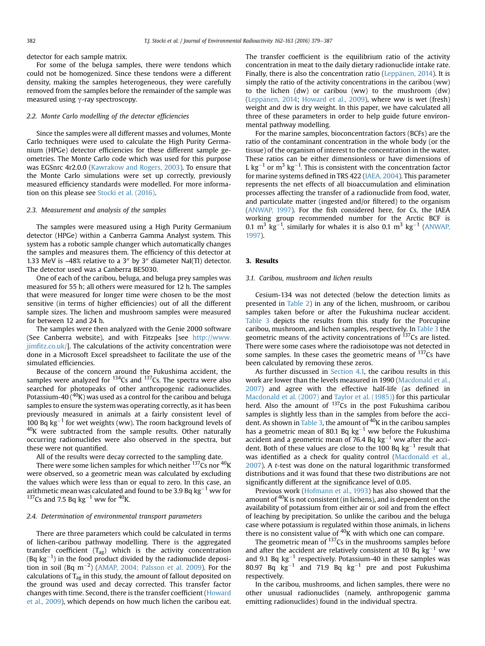detector for each sample matrix.

For some of the beluga samples, there were tendons which could not be homogenized. Since these tendons were a different density, making the samples heterogeneous, they were carefully removed from the samples before the remainder of the sample was measured using  $\gamma$ -ray spectroscopy.

### 2.2. Monte Carlo modelling of the detector efficiencies

Since the samples were all different masses and volumes, Monte Carlo techniques were used to calculate the High Purity Germanium (HPGe) detector efficiencies for these different sample geometries. The Monte Carlo code which was used for this purpose was EGSnrc 4r2.0.0 [\(Kawrakow and Rogers, 2003](#page-7-0)). To ensure that the Monte Carlo simulations were set up correctly, previously measured efficiency standards were modelled. For more information on this please see [Stocki et al. \(2016\)](#page-8-0).

## 2.3. Measurement and analysis of the samples

The samples were measured using a High Purity Germanium detector (HPGe) within a Canberra Gamma Analyst system. This system has a robotic sample changer which automatically changes the samples and measures them. The efficiency of this detector at 1.33 MeV is ~48% relative to a 3 $^{\prime\prime}$  by 3 $^{\prime\prime}$  diameter NaI(Tl) detector. The detector used was a Canberra BE5030.

One of each of the caribou, beluga, and beluga prey samples was measured for 55 h; all others were measured for 12 h. The samples that were measured for longer time were chosen to be the most sensitive (in terms of higher efficiencies) out of all the different sample sizes. The lichen and mushroom samples were measured for between 12 and 24 h.

The samples were then analyzed with the Genie 2000 software (See Canberra website), and with Fitzpeaks [see [http://www.](http://www.jimfitz.co.uk/) jimfi[tz.co.uk/](http://www.jimfitz.co.uk/)]. The calculations of the activity concentration were done in a Microsoft Excel spreadsheet to facilitate the use of the simulated efficiencies.

Because of the concern around the Fukushima accident, the samples were analyzed for  $134Cs$  and  $137Cs$ . The spectra were also searched for photopeaks of other anthropogenic radionuclides. Potassium-40  $(^{40}K)$  was used as a control for the caribou and beluga samples to ensure the system was operating correctly, as it has been previously measured in animals at a fairly consistent level of 100 Bq  $kg^{-1}$  for wet weights (ww). The room background levels of  $40$ K were subtracted from the sample results. Other naturally occurring radionuclides were also observed in the spectra, but these were not quantified.

All of the results were decay corrected to the sampling date.

There were some lichen samples for which neither  $^{137}$ Cs nor  $^{40}$ K were observed, so a geometric mean was calculated by excluding the values which were less than or equal to zero. In this case, an arithmetic mean was calculated and found to be 3.9 Bq  $kg^{-1}$  ww for  $137$ Cs and 7.5 Bq kg<sup>-1</sup> ww for <sup>40</sup>K.

# 2.4. Determination of environmental transport parameters

There are three parameters which could be calculated in terms of lichen-caribou pathway modelling. There is the aggregated transfer coefficient  $(T_{aq})$  which is the activity concentration (Bq  $kg^{-1}$ ) in the food product divided by the radionuclide deposition in soil (Bq m $^{-2}$ ) ([AMAP, 2004; Palsson et al. 2009\)](#page-7-0). For the calculations of  $T_{ag}$  in this study, the amount of fallout deposited on the ground was used and decay corrected. This transfer factor changes with time. Second, there is the transfer coefficient ([Howard](#page-7-0) [et al., 2009](#page-7-0)), which depends on how much lichen the caribou eat. The transfer coefficient is the equilibrium ratio of the activity concentration in meat to the daily dietary radionuclide intake rate. Finally, there is also the concentration ratio [\(Leppanen, 2014](#page-7-0)). It is simply the ratio of the activity concentrations in the caribou (ww) to the lichen (dw) or caribou (ww) to the mushroom (dw) ([Lepp](#page-7-0)änen, 2014; [Howard et al., 2009](#page-7-0)), where ww is wet (fresh) weight and dw is dry weight. In this paper, we have calculated all three of these parameters in order to help guide future environmental pathway modelling.

For the marine samples, bioconcentration factors (BCFs) are the ratio of the contaminant concentration in the whole body (or the tissue) of the organism of interest to the concentration in the water. These ratios can be either dimensionless or have dimensions of L kg<sup>-1</sup> or m<sup>3</sup> kg<sup>-1</sup>. This is consistent with the concentration factor for marine systems defined in TRS 422 ([IAEA, 2004\)](#page-7-0). This parameter represents the net effects of all bioaccumulation and elimination processes affecting the transfer of a radionuclide from food, water, and particulate matter (ingested and/or filtered) to the organism ([ANWAP, 1997\)](#page-7-0). For the fish considered here, for Cs, the IAEA working group recommended number for the Arctic BCF is 0.1  $\mathrm{m}^3$  kg<sup>-1</sup>, similarly for whales it is also 0.1  $\mathrm{m}^3$  kg<sup>-1</sup> ([ANWAP,](#page-7-0) [1997](#page-7-0)).

#### 3. Results

# 3.1. Caribou, mushroom and lichen results

Cesium-134 was not detected (below the detection limits as presented in [Table 2](#page-4-0)) in any of the lichen, mushroom, or caribou samples taken before or after the Fukushima nuclear accident. [Table 3](#page-4-0) depicts the results from this study for the Porcupine caribou, mushroom, and lichen samples, respectively. In [Table 3](#page-4-0) the geometric means of the activity concentrations of  $137$ Cs are listed. There were some cases where the radioisotope was not detected in some samples. In these cases the geometric means of  $137Cs$  have been calculated by removing these zeros.

As further discussed in [Section 4.1,](#page-5-0) the caribou results in this work are lower than the levels measured in 1990 [\(Macdonald et al.,](#page-8-0) [2007\)](#page-8-0) and agree with the effective half-life (as defined in [Macdonald et al. \(2007\)](#page-8-0) and [Taylor et al. \(1985\)](#page-8-0)) for this particular herd. Also the amount of  $137Cs$  in the post Fukushima caribou samples is slightly less than in the samples from before the acci-dent. As shown in [Table 3](#page-4-0), the amount of  $40K$  in the caribou samples has a geometric mean of 80.1 Bq  $kg^{-1}$  ww before the Fukushima accident and a geometric mean of 76.4 Bq  $kg^{-1}$  ww after the accident. Both of these values are close to the 100 Bq  $kg^{-1}$  result that was identified as a check for quality control [\(Macdonald et al.,](#page-8-0) [2007\)](#page-8-0). A t-test was done on the natural logarithmic transformed distributions and it was found that these two distributions are not significantly different at the significance level of 0.05.

Previous work ([Hofmann et al., 1993](#page-7-0)) has also showed that the amount of  $40K$  is not consistent (in lichens), and is dependent on the availability of potassium from either air or soil and from the effect of leaching by precipitation. So unlike the caribou and the beluga case where potassium is regulated within those animals, in lichens there is no consistent value of  $40K$  with which one can compare.

The geometric mean of <sup>137</sup>Cs in the mushrooms samples before and after the accident are relatively consistent at 10 Bq  $kg^{-1}$  ww and 9.1 Bq  $kg^{-1}$  respectively. Potassium-40 in these samples was 80.97 Bq  $kg^{-1}$  and 71.9 Bq  $kg^{-1}$  pre and post Fukushima respectively.

In the caribou, mushrooms, and lichen samples, there were no other unusual radionuclides (namely, anthropogenic gamma emitting radionuclides) found in the individual spectra.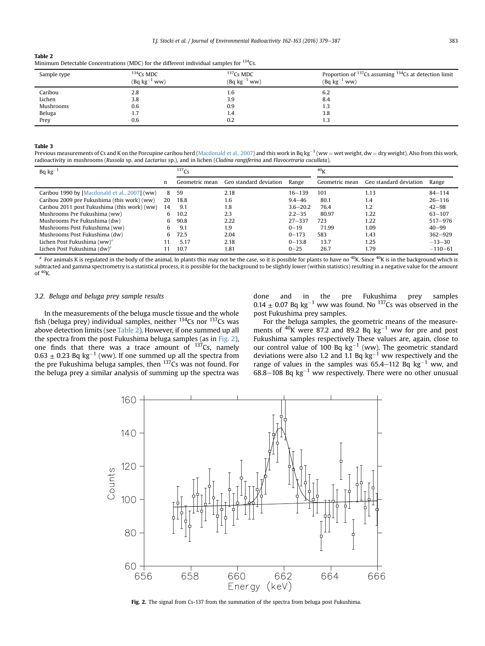# <span id="page-4-0"></span>Table 2

| Minimum Detectable Concentrations (MDC) for the different individual samples for <sup>134</sup> Cs. |  |  |  |  |  |
|-----------------------------------------------------------------------------------------------------|--|--|--|--|--|
|-----------------------------------------------------------------------------------------------------|--|--|--|--|--|

| Sample type | $134$ Cs MDC<br>$(Bq kg^{-1}$ ww) | $137$ Cs MDC<br>$(Bq kg^{-1}$ ww) | Proportion of $^{137}$ Cs assuming $^{134}$ Cs at detection limit<br>$(Bq kg^{-1}$ ww) |
|-------------|-----------------------------------|-----------------------------------|----------------------------------------------------------------------------------------|
| Caribou     | 2.8                               | 1.6                               | 6.2                                                                                    |
| Lichen      | 3.8                               | 3.9                               | 8.4                                                                                    |
| Mushrooms   | 0.6                               | 0.9                               | 1.3                                                                                    |
| Beluga      | 1.7                               | 1.4                               | 3.8                                                                                    |
| Prey        | 0.6                               | 0.2                               | 1.3                                                                                    |

#### Table 3

Previous measurements of Cs and K on the Porcupine caribou herd ([Macdonald et al., 2007\)](#page-8-0) and this work in Bq kg<sup>-1</sup> (ww = wet weight, dw = dry weight). Also from this work, radioactivity in mushrooms (Russola sp. and Lactarius sp.), and in lichen (Cladina rangiferina and Flavocetraria cucullata).

| $Bq kg^{-1}$                                  |    | 137C <sub>S</sub> |                        | 40 <sub>V</sub> |                |                        |             |
|-----------------------------------------------|----|-------------------|------------------------|-----------------|----------------|------------------------|-------------|
|                                               | n  | Geometric mean    | Geo standard deviation | Range           | Geometric mean | Geo standard deviation | Range       |
| Caribou 1990 by [Macdonald et al., 2007] (ww) | 8  | 59                | 2.18                   | $16 - 139$      | 101            | 1.13                   | $84 - 114$  |
| Caribou 2009 pre Fukushima (this work) (ww)   | 20 | 18.8              | 1.6                    | $9.4 - 46$      | 80.1           | 1.4                    | $26 - 116$  |
| Caribou 2011 post Fukushima (this work) (ww)  | 14 | 9.1               | 1.8                    | $3.6 - 20.2$    | 76.4           | 1.2                    | $42 - 98$   |
| Mushrooms Pre Fukushima (ww)                  | 6  | 10.2              | 2.3                    | $2.2 - 35$      | 80.97          | 1.22                   | $63 - 107$  |
| Mushrooms Pre Fukushima (dw)                  | 6  | 90.8              | 2.22                   | $27 - 337$      | 723            | 1.22                   | $517 - 976$ |
| Mushrooms Post Fukushima (ww)                 | 6  | 9.1               | 1.9                    | $0 - 19$        | 71.99          | 1.09                   | $40 - 99$   |
| Mushrooms Post Fukushima (dw)                 | 6  | 72.5              | 2.04                   | $0 - 173$       | 583            | 1.43                   | $362 - 929$ |
| Lichen Post Fukushima (ww) <sup>a</sup>       |    | 5.17              | 2.18                   | $0 - 13.8$      | 13.7           | 1.25                   | $-13-30$    |
| Lichen Post Fukushima (dw) <sup>a</sup>       |    | 10.7              | 1.81                   | $0 - 25$        | 26.7           | 1.79                   | $-110-61$   |

<sup>a</sup> For animals K is regulated in the body of the animal. In plants this may not be the case, so it is possible for plants to have no <sup>40</sup>K. Since <sup>40</sup>K is in the background which is subtracted and gamma spectrometry is a statistical process, it is possible for the background to be slightly lower (within statistics) resulting in a negative value for the amount of  $40$ K.

# 3.2. Beluga and beluga prey sample results

In the measurements of the beluga muscle tissue and the whole fish (beluga prey) individual samples, neither  $134Cs$  nor  $137Cs$  was above detection limits (see Table 2). However, if one summed up all the spectra from the post Fukushima beluga samples (as in Fig. 2), one finds that there was a trace amount of  $137Cs$ , namely  $0.63 \pm 0.23$  Bq kg<sup>-1</sup> (ww). If one summed up all the spectra from the pre Fukushima beluga samples, then  $137Cs$  was not found. For the beluga prey a similar analysis of summing up the spectra was

done and in the pre Fukushima prey samples  $0.14 \pm 0.07$  Bq kg<sup>-1</sup> ww was found. No <sup>137</sup>Cs was observed in the post Fukushima prey samples.

For the beluga samples, the geometric means of the measurements of  $40K$  were 87.2 and 89.2 Bq kg<sup>-1</sup> ww for pre and post Fukushima samples respectively These values are, again, close to our control value of 100 Bq  $kg^{-1}$  (ww). The geometric standard deviations were also 1.2 and 1.1 Bq  $kg^{-1}$  ww respectively and the range of values in the samples was  $65.4-112$  Bq kg<sup>-1</sup> ww, and  $68.8-108$  Bq kg<sup>-1</sup> ww respectively. There were no other unusual



Fig. 2. The signal from Cs-137 from the summation of the spectra from beluga post Fukushima.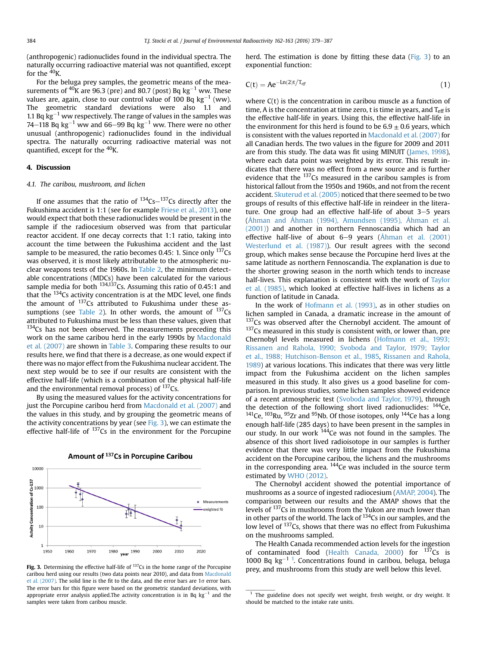<span id="page-5-0"></span>(anthropogenic) radionuclides found in the individual spectra. The naturally occurring radioactive material was not quantified, except for the  $40$ K.

For the beluga prey samples, the geometric means of the measurements of  $40K$  are 96.3 (pre) and 80.7 (post) Bq kg<sup>-1</sup> ww. These values are, again, close to our control value of 100 Bq  $kg^{-1}$  (ww). The geometric standard deviations were also 1.1 and 1.1 Bq kg<sup>-1</sup> ww respectively. The range of values in the samples was 74–118 Bq kg<sup>-1</sup> ww and 66–99 Bq  $\text{kg}^{-1}$  ww. There were no other unusual (anthropogenic) radionuclides found in the individual spectra. The naturally occurring radioactive material was not quantified, except for the <sup>40</sup>K.

# 4. Discussion

## 4.1. The caribou, mushroom, and lichen

If one assumes that the ratio of  $134Cs-137Cs$  directly after the Fukushima accident is 1:1 (see for example [Friese et al., 2013\)](#page-7-0), one would expect that both these radionuclides would be present in the sample if the radiocesium observed was from that particular reactor accident. If one decay corrects that 1:1 ratio, taking into account the time between the Fukushima accident and the last sample to be measured, the ratio becomes 0.45: 1. Since only  $137$ Cs was observed, it is most likely attributable to the atmospheric nuclear weapons tests of the 1960s. In [Table 2,](#page-4-0) the minimum detectable concentrations (MDCs) have been calculated for the various sample media for both <sup>134,137</sup>Cs. Assuming this ratio of 0.45:1 and that the 134Cs activity concentration is at the MDC level, one finds the amount of  $137Cs$  attributed to Fukushima under these as-sumptions (see [Table 2](#page-4-0)). In other words, the amount of  $137Cs$ attributed to Fukushima must be less than these values, given that  $134$ Cs has not been observed. The measurements preceding this work on the same caribou herd in the early 1990s by [Macdonald](#page-8-0) [et al. \(2007\)](#page-8-0) are shown in [Table 3](#page-4-0). Comparing these results to our results here, we find that there is a decrease, as one would expect if there was no major effect from the Fukushima nuclear accident. The next step would be to see if our results are consistent with the effective half-life (which is a combination of the physical half-life and the environmental removal process) of  $137$ Cs.

By using the measured values for the activity concentrations for just the Porcupine caribou herd from [Macdonald et al. \(2007\)](#page-8-0) and the values in this study, and by grouping the geometric means of the activity concentrations by year (see  $Fig. 3$ ), we can estimate the effective half-life of  $137$ Cs in the environment for the Porcupine



Amount of 137Cs in Porcupine Caribou

caribou herd using our results (two data points near 2010), and data from [Macdonald](#page-8-0) [et al. \(2007\).](#page-8-0) The solid line is the fit to the data, and the error bars are 1 $\sigma$  error bars. The error bars for this figure were based on the geometric standard deviations, with appropriate error analysis applied. The activity concentration is in Bq  $kg^{-1}$  and the samples were taken from caribou muscle.

herd. The estimation is done by fitting these data (Fig. 3) to an exponential function:

$$
C(t) = Ae^{-Ln(2)t/T_{eff}} \tag{1}
$$

where  $C(t)$  is the concentration in caribou muscle as a function of time, A is the concentration at time zero, t is time in years, and  $T_{\text{eff}}$  is the effective half-life in years. Using this, the effective half-life in the environment for this herd is found to be  $6.9 \pm 0.6$  years, which is consistent with the values reported in [Macdonald et al. \(2007\)](#page-8-0) for all Canadian herds. The two values in the figure for 2009 and 2011 are from this study. The data was fit using MINUIT [\(James, 1998\)](#page-7-0), where each data point was weighted by its error. This result indicates that there was no effect from a new source and is further evidence that the <sup>137</sup>Cs measured in the caribou samples is from historical fallout from the 1950s and 1960s, and not from the recent accident. [Skuterud et al. \(2005\)](#page-8-0) noticed that there seemed to be two groups of results of this effective half-life in reindeer in the literature. One group had an effective half-life of about  $3-5$  years ([Åhman and Åhman \(1994\), Amundsen \(1995\), Åhman et al.](#page-7-0) [\(2001\)\)](#page-7-0) and another in northern Fennoscandia which had an effective half-live of about  $6-9$  years [\(Åhman et al. \(2001\)](#page-7-0) [Westerlund et al. \(1987\)](#page-8-0)). Our result agrees with the second group, which makes sense because the Porcupine herd lives at the same latitude as northern Fennoscandia. The explanation is due to the shorter growing season in the north which tends to increase half-lives. This explanation is consistent with the work of [Taylor](#page-8-0) [et al. \(1985\)](#page-8-0), which looked at effective half-lives in lichens as a function of latitude in Canada.

In the work of [Hofmann et al. \(1993\)](#page-7-0), as in other studies on lichen sampled in Canada, a dramatic increase in the amount of  $137$ Cs was observed after the Chernobyl accident. The amount of <sup>137</sup>Cs measured in this study is consistent with, or lower than, pre Chernobyl levels measured in lichens [\(Hofmann et al., 1993;](#page-7-0) [Rissanen and Rahola, 1990; Svoboda and Taylor, 1979; Taylor](#page-7-0) [et al., 1988; Hutchison-Benson et al., 1985,](#page-7-0) [Rissanen and Rahola,](#page-8-0) [1989](#page-8-0)) at various locations. This indicates that there was very little impact from the Fukushima accident on the lichen samples measured in this study. It also gives us a good baseline for comparison. In previous studies, some lichen samples showed evidence of a recent atmospheric test ([Svoboda and Taylor, 1979](#page-8-0)), through the detection of the following short lived radionuclides:  $^{144}$ Ce,  $141$ Ce,  $103$ Ru,  $95$ Zr and  $95$ Nb. Of those isotopes, only  $144$ Ce has a long enough half-life (285 days) to have been present in the samples in our study. In our work <sup>144</sup>Ce was not found in the samples. The absence of this short lived radioisotope in our samples is further evidence that there was very little impact from the Fukushima accident on the Porcupine caribou, the lichens and the mushrooms in the corresponding area.  $144$ Ce was included in the source term estimated by [WHO \(2012\).](#page-8-0)

The Chernobyl accident showed the potential importance of mushrooms as a source of ingested radiocesium [\(AMAP, 2004](#page-7-0)). The comparison between our results and the AMAP shows that the levels of <sup>137</sup>Cs in mushrooms from the Yukon are much lower than in other parts of the world. The lack of <sup>134</sup>Cs in our samples, and the low level of <sup>137</sup>Cs, shows that there was no effect from Fukushima on the mushrooms sampled.

The Health Canada recommended action levels for the ingestion of contaminated food [\(Health Canada, 2000](#page-7-0)) for  $^{137}$ Cs is 1000 Bq  $kg^{-1}$ <sup>1</sup>. Concentrations found in caribou, beluga, beluga **Fig. 3.** Determining the effective half-life of <sup>137</sup>Cs in the home range of the Porcupine prey, and mushrooms from this study are well below this level.

 $1$  The guideline does not specify wet weight, fresh weight, or dry weight. It should be matched to the intake rate units.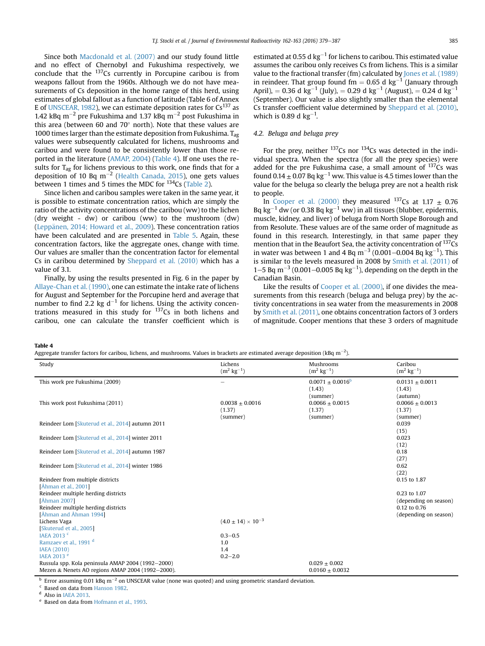Since both [Macdonald et al. \(2007\)](#page-8-0) and our study found little and no effect of Chernobyl and Fukushima respectively, we conclude that the  $137$ Cs currently in Porcupine caribou is from weapons fallout from the 1960s. Although we do not have measurements of Cs deposition in the home range of this herd, using estimates of global fallout as a function of latitude (Table 6 of Annex E of [UNSCEAR, 1982\)](#page-8-0), we can estimate deposition rates for  $Cs^{137}$  as 1.42 kBq m<sup>-2</sup> pre Fukushima and 1.37 kBq m<sup>-2</sup> post Fukushima in this area (between 60 and 70 $^{\circ}$  north). Note that these values are 1000 times larger than the estimate deposition from Fukushima.  $T_{\text{ag}}$ values were subsequently calculated for lichens, mushrooms and caribou and were found to be consistently lower than those reported in the literature [\(AMAP, 2004\)](#page-7-0) (Table 4). If one uses the results for  $T_{\text{ag}}$  for lichens previous to this work, one finds that for a deposition of 10 Bq  $m^{-2}$  [\(Health Canada, 2015\)](#page-7-0), one gets values between 1 times and 5 times the MDC for  $^{134}$ Cs ([Table 2\)](#page-4-0).

Since lichen and caribou samples were taken in the same year, it is possible to estimate concentration ratios, which are simply the ratio of the activity concentrations of the caribou (ww) to the lichen (dry weight - dw) or caribou (ww) to the mushroom (dw) (Leppänen, 2014; Howard et al., 2009). These concentration ratios have been calculated and are presented in [Table 5.](#page-7-0) Again, these concentration factors, like the aggregate ones, change with time. Our values are smaller than the concentration factor for elemental Cs in caribou determined by [Sheppard et al. \(2010\)](#page-8-0) which has a value of 3.1.

Finally, by using the results presented in Fig. 6 in the paper by [Allaye-Chan et al. \(1990\),](#page-7-0) one can estimate the intake rate of lichens for August and September for the Porcupine herd and average that number to find 2.2 kg  $d^{-1}$  for lichens. Using the activity concentrations measured in this study for  $137$ Cs in both lichens and caribou, one can calculate the transfer coefficient which is estimated at 0.55 d  $kg^{-1}$  for lichens to caribou. This estimated value assumes the caribou only receives Cs from lichens. This is a similar value to the fractional transfer (fm) calculated by [Jones et al. \(1989\)](#page-7-0) in reindeer. That group found fm =  $0.65$  d kg<sup>-1</sup> (January through April), = 0.36 d kg<sup>-1</sup> (July), = 0.29 d kg<sup>-1</sup> (August), = 0.24 d kg<sup>-1</sup> (September). Our value is also slightly smaller than the elemental Cs transfer coefficient value determined by [Sheppard et al. \(2010\),](#page-8-0) which is 0.89 d kg $^{-1}$ .

# 4.2. Beluga and beluga prey

For the prey, neither  $^{137}$ Cs nor  $^{134}$ Cs was detected in the individual spectra. When the spectra (for all the prey species) were added for the pre Fukushima case, a small amount of  $137Cs$  was found  $0.14 \pm 0.07$  Bq kg<sup>-1</sup> ww. This value is 4.5 times lower than the value for the beluga so clearly the beluga prey are not a health risk to people.

In [Cooper et al. \(2000\)](#page-7-0) they measured  $^{137}$ Cs at 1.17  $\pm$  0.76 Bq kg<sup>-1</sup> dw (or 0.38 Bq kg<sup>-1</sup> ww) in all tissues (blubber, epidermis, muscle, kidney, and liver) of beluga from North Slope Borough and from Resolute. These values are of the same order of magnitude as found in this research. Interestingly, in that same paper they mention that in the Beaufort Sea, the activity concentration of <sup>137</sup>Cs in water was between 1 and 4 Bq m<sup>-3</sup> (0.001–0.004 Bq kg<sup>-1</sup>). This is similar to the levels measured in 2008 by [Smith et al. \(2011\)](#page-8-0) of 1–5 Bq m<sup>-3</sup> (0.001–0.005 Bq kg<sup>-1</sup>), depending on the depth in the Canadian Basin.

Like the results of [Cooper et al. \(2000\),](#page-7-0) if one divides the measurements from this research (beluga and beluga prey) by the activity concentrations in sea water from the measurements in 2008 by [Smith et al. \(2011\),](#page-8-0) one obtains concentration factors of 3 orders of magnitude. Cooper mentions that these 3 orders of magnitude

Table 4

Aggregate transfer factors for caribou, lichens, and mushrooms. Values in brackets are estimated average deposition (kBq m $^{-2}$ ).

| Study                                             | Lichens                       | Mushrooms               | Caribou                 |
|---------------------------------------------------|-------------------------------|-------------------------|-------------------------|
|                                                   | $(m^2 \text{ kg}^{-1})$       | $(m^2 \text{ kg}^{-1})$ | $(m^2 \text{ kg}^{-1})$ |
|                                                   |                               |                         |                         |
| This work pre Fukushima (2009)                    |                               | $0.0071 \pm 0.0016^b$   | $0.0131 + 0.0011$       |
|                                                   |                               | (1.43)                  | (1.43)                  |
|                                                   |                               | (summer)                | (autumn)                |
| This work post Fukushima (2011)                   | $0.0038 \pm 0.0016$           | $0.0066 \pm 0.0015$     | $0.0066 \pm 0.0013$     |
|                                                   | (1.37)                        | (1.37)                  | (1.37)                  |
|                                                   | (summer)                      | (summer)                | (summer)                |
| Reindeer Lom [Skuterud et al., 2014] autumn 2011  |                               |                         | 0.039                   |
|                                                   |                               |                         | (15)                    |
| Reindeer Lom [Skuterud et al., 2014] winter 2011  |                               |                         | 0.023                   |
|                                                   |                               |                         | (12)                    |
| Reindeer Lom [Skuterud et al., 2014] autumn 1987  |                               |                         | 0.18                    |
|                                                   |                               |                         | (27)                    |
| Reindeer Lom [Skuterud et al., 2014] winter 1986  |                               |                         | 0.62                    |
|                                                   |                               |                         | (22)                    |
| Reindeer from multiple districts                  |                               |                         | 0.15 to 1.87            |
| [Åhman et al., 2001]                              |                               |                         |                         |
| Reindeer multiple herding districts               |                               |                         | 0.23 to 1.07            |
| [Åhman 2007]                                      |                               |                         | (depending on season)   |
| Reindeer multiple herding districts               |                               |                         | 0.12 to 0.76            |
| [Åhman and Åhman 1994]                            |                               |                         | (depending on season)   |
| Lichens Vaga                                      | $(4.0 \pm 14) \times 10^{-3}$ |                         |                         |
| [Skuterud et al., 2005]                           |                               |                         |                         |
| IAEA 2013 <sup>c</sup>                            | $0.3 - 0.5$                   |                         |                         |
|                                                   |                               |                         |                         |
| Ramzaev et al., 1991 <sup>d</sup>                 | 1.0                           |                         |                         |
| <b>IAEA (2010)</b>                                | 1.4                           |                         |                         |
| IAEA 2013 <sup>e</sup>                            | $0.2 - 2.0$                   |                         |                         |
| Russula spp. Kola peninsula AMAP 2004 (1992-2000) |                               | $0.029 \pm 0.002$       |                         |
| Mezen & Nenets AO regions AMAP 2004 (1992-2000).  |                               | $0.0160 \pm 0.0032$     |                         |

<sup>b</sup> Error assuming 0.01 kBq m<sup>-2</sup> on UNSCEAR value (none was quoted) and using geometric standard deviation.

 $\frac{c}{d}$  Based on data from [Hanson 1982.](#page-7-0)

Also in [IAEA 2013.](#page-7-0)

Based on data from [Hofmann et al., 1993](#page-7-0).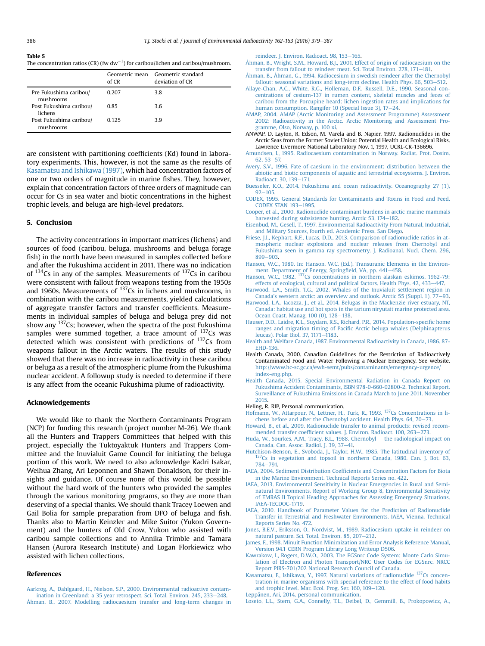#### <span id="page-7-0"></span>Table 5

The concentration ratios (CR) (fw dw<sup>-1</sup>) for caribou/lichen and caribou/mushroom.

|                                      | of CR | Geometric mean Geometric standard<br>deviation of CR |
|--------------------------------------|-------|------------------------------------------------------|
| Pre Fukushima caribou/<br>mushrooms  | 0.207 | 3.8                                                  |
| Post Fukushima caribou/<br>lichens   | 0.85  | 3.6                                                  |
| Post Fukushima caribou/<br>mushrooms | 0.125 | 39                                                   |

are consistent with partitioning coefficients (Kd) found in laboratory experiments. This, however, is not the same as the results of Kasamatsu and Ishikawa (1997), which had concentration factors of one or two orders of magnitude in marine fishes. They, however, explain that concentration factors of three orders of magnitude can occur for Cs in sea water and biotic concentrations in the highest trophic levels, and beluga are high-level predators.

### 5. Conclusion

The activity concentrations in important matrices (lichens) and sources of food (caribou, beluga, mushrooms and beluga forage fish) in the north have been measured in samples collected before and after the Fukushima accident in 2011. There was no indication of  $134Cs$  in any of the samples. Measurements of  $137Cs$  in caribou were consistent with fallout from weapons testing from the 1950s and 1960s. Measurements of  $137Cs$  in lichens and mushrooms, in combination with the caribou measurements, yielded calculations of aggregate transfer factors and transfer coefficients. Measurements in individual samples of beluga and beluga prey did not show any  $137$ Cs; however, when the spectra of the post Fukushima samples were summed together, a trace amount of  $137$ Cs was detected which was consistent with predictions of <sup>137</sup>Cs from weapons fallout in the Arctic waters. The results of this study showed that there was no increase in radioactivity in these caribou or beluga as a result of the atmospheric plume from the Fukushima nuclear accident. A followup study is needed to determine if there is any affect from the oceanic Fukushima plume of radioactivity.

# Acknowledgements

We would like to thank the Northern Contaminants Program (NCP) for funding this research (project number M-26). We thank all the Hunters and Trappers Committees that helped with this project, especially the Tuktoyaktuk Hunters and Trappers Committee and the Inuvialuit Game Council for initiating the beluga portion of this work. We need to also acknowledge Kadri Isakar, Weihua Zhang, Ari Leponnen and Shawn Donaldson, for their insights and guidance. Of course none of this would be possible without the hard work of the hunters who provided the samples through the various monitoring programs, so they are more than deserving of a special thanks. We should thank Tracey Loewen and Gail Bolia for sample preparation from DFO of beluga and fish. Thanks also to Martin Keinzler and Mike Suitor (Yukon Government) and the hunters of Old Crow, Yukon who assisted with caribou sample collections and to Annika Trimble and Tamara Hansen (Aurora Research Institute) and Logan Florkiewicz who assisted with lichen collections.

#### References

[Aarkrog, A., Dahlgaard, H., Nielson, S.P., 2000. Environmental radioactive contam](http://refhub.elsevier.com/S0265-931X(16)30175-8/sref1)[ination in Greenland: a 35 year retrospect. Sci. Total. Environ. 245, 233](http://refhub.elsevier.com/S0265-931X(16)30175-8/sref1)-[248.](http://refhub.elsevier.com/S0265-931X(16)30175-8/sref1) [Åhman, B., 2007. Modelling radiocaesium transfer and long-term changes in](http://refhub.elsevier.com/S0265-931X(16)30175-8/sref2) [reindeer. J. Environ. Radioact. 98, 153](http://refhub.elsevier.com/S0265-931X(16)30175-8/sref2)-[165.](http://refhub.elsevier.com/S0265-931X(16)30175-8/sref2)

[Åhman, B., Wright, S.M., Howard, B.J., 2001. Effect of origin of radiocaesium on the](http://refhub.elsevier.com/S0265-931X(16)30175-8/sref3) [transfer from fallout to reindeer meat. Sci. Total Environ. 278, 171](http://refhub.elsevier.com/S0265-931X(16)30175-8/sref3)-[181.](http://refhub.elsevier.com/S0265-931X(16)30175-8/sref3)

[Åhman, B., Åhman, G., 1994. Radiocesium in swedish reindeer after the Chernobyl](http://refhub.elsevier.com/S0265-931X(16)30175-8/sref4) fallout: seasonal variations and long-term decline. Health Phys.  $66, 503-512$ .

- [Allaye-Chan, A.C., White, R.G., Holleman, D.F., Russell, D.E., 1990. Seasonal con](http://refhub.elsevier.com/S0265-931X(16)30175-8/sref5)[centrations of cesium-137 in rumen content, skeletal muscles and feces of](http://refhub.elsevier.com/S0265-931X(16)30175-8/sref5) [caribou from the Porcupine heard: lichen ingestion rates and implications for](http://refhub.elsevier.com/S0265-931X(16)30175-8/sref5) human consumption. Rangifer 10 (Special Issue 3),  $17-24$ .
- [AMAP, 2004. AMAP \(Arctic Monitoring and Assessment Programme\) Assessment](http://refhub.elsevier.com/S0265-931X(16)30175-8/sref6) [2002: Radioactivity in the Arctic. Arctic Monitoring and Assessment Pro](http://refhub.elsevier.com/S0265-931X(16)30175-8/sref6)[gramme, Olso, Norway, p. 100 xi.](http://refhub.elsevier.com/S0265-931X(16)30175-8/sref6)
- ANWAP. D. Layton, R. Edson, M. Varela and B. Napier, 1997. Radionuclides in the Arctic Seas from the Former Soviet Union: Potential Health and Ecological Risks. Lawrence Livermore National Laboratory Nov. 1, 1997, UCRL-CR-136696.
- [Amundsen, I., 1995. Radiocaesium contamination in Norway. Radiat. Prot. Dosim.](http://refhub.elsevier.com/S0265-931X(16)30175-8/sref8)  $62, 53 - 57$  $62, 53 - 57$
- [Avery, S.V., 1996. Fate of caesium in the environment: distribution between the](http://refhub.elsevier.com/S0265-931X(16)30175-8/sref9) [abiotic and biotic components of aquatic and terrestrial ecosystems. J. Environ.](http://refhub.elsevier.com/S0265-931X(16)30175-8/sref9) Radioact. 30,  $139 - 171$ .
- [Buesseler, K.O., 2014. Fukushima and ocean radioactivity. Oceanography 27 \(1\),](http://refhub.elsevier.com/S0265-931X(16)30175-8/sref10)  $92 - 105$  $92 - 105$  $92 - 105$
- [CODEX, 1995. General Standards for Contaminants and Toxins in Food and Feed.](http://refhub.elsevier.com/S0265-931X(16)30175-8/sref11)  $CONFX$  STAN 193 $-1995$  $-1995$ .
- [Cooper, et al., 2000. Radionuclide contaminant burdens in arctic marine mammals](http://refhub.elsevier.com/S0265-931X(16)30175-8/sref12) [harvested during subsistence hunting. Arctic 53, 174](http://refhub.elsevier.com/S0265-931X(16)30175-8/sref12)-[182.](http://refhub.elsevier.com/S0265-931X(16)30175-8/sref12)
- [Eisenbud, M., Gesell, T., 1997. Environmental Radioactivity From Natural, Industrial,](http://refhub.elsevier.com/S0265-931X(16)30175-8/sref64) [and Military Sources, fourth ed. Academic Press, San Diego.](http://refhub.elsevier.com/S0265-931X(16)30175-8/sref64)
- [Friese, J.I., Kephart, R.F., Lucas, D.D., 2013. Comparison of radionuclide ratios in at](http://refhub.elsevier.com/S0265-931X(16)30175-8/sref13)[mospheric nuclear explosions and nuclear releases from Chernobyl and](http://refhub.elsevier.com/S0265-931X(16)30175-8/sref13) [Fukushima seen in gamma ray spectrometry. J. Radioanal. Nucl. Chem. 296,](http://refhub.elsevier.com/S0265-931X(16)30175-8/sref13) [899](http://refhub.elsevier.com/S0265-931X(16)30175-8/sref13)-903
- [Hanson, W.C., 1980. In: Hanson, W.C. \(Ed.\), Transuranic Elements in the Environ](http://refhub.elsevier.com/S0265-931X(16)30175-8/sref14)[ment. Department of Energy, Spring](http://refhub.elsevier.com/S0265-931X(16)30175-8/sref14)field, VA, pp. 441-[458.](http://refhub.elsevier.com/S0265-931X(16)30175-8/sref14)
- [Hanson,](http://refhub.elsevier.com/S0265-931X(16)30175-8/sref15) [W.C.,](http://refhub.elsevier.com/S0265-931X(16)30175-8/sref15) [1982.](http://refhub.elsevier.com/S0265-931X(16)30175-8/sref15) <sup>137</sup>Cs concentrations in northern alaskan eskimos, 1962-79: [effects of ecological, cultural and political factors. Health Phys. 42, 433](http://refhub.elsevier.com/S0265-931X(16)30175-8/sref15)-[447.](http://refhub.elsevier.com/S0265-931X(16)30175-8/sref15)
- [Harwood, L.A., Smith, T.G., 2002. Whales of the Inuvialuit settlement region in](http://refhub.elsevier.com/S0265-931X(16)30175-8/sref16) Canada'[s western arctic: an overview and outlook. Arctic 55 \(Suppl. 1\), 77](http://refhub.elsevier.com/S0265-931X(16)30175-8/sref16)-[93](http://refhub.elsevier.com/S0265-931X(16)30175-8/sref16).
- [Harwood, L.A., Iacozza, J., et al., 2014. Belugas in the Mackenzie river estuary, NT,](http://refhub.elsevier.com/S0265-931X(16)30175-8/sref17) [Canada: habitat use and hot spots in the tarium niryutait marine protected area.](http://refhub.elsevier.com/S0265-931X(16)30175-8/sref17) [Ocean Coast. Manag. 100 \(0\), 128](http://refhub.elsevier.com/S0265-931X(16)30175-8/sref17)-[138.](http://refhub.elsevier.com/S0265-931X(16)30175-8/sref17)
- [Hauser, D.D., Laidre, K.L., Suydam, R.S., Richard, P.R., 2014. Population-speci](http://refhub.elsevier.com/S0265-931X(16)30175-8/sref18)fic home ranges and migration timing of Pacifi[c Arctic beluga whales \(Delphinapterus](http://refhub.elsevier.com/S0265-931X(16)30175-8/sref18) [leucas\). Polar Biol. 37, 1171](http://refhub.elsevier.com/S0265-931X(16)30175-8/sref18)-[1183.](http://refhub.elsevier.com/S0265-931X(16)30175-8/sref18)
- [Health and Welfare Canada, 1987. Environmental Radioactivity in Canada, 1986. 87-](http://refhub.elsevier.com/S0265-931X(16)30175-8/sref19) [EHD-136.](http://refhub.elsevier.com/S0265-931X(16)30175-8/sref19)
- Health Canada, 2000. Canadian Guidelines for the Restriction of Radioactively Contaminated Food and Water Following a Nuclear Emergency. See website. [http://www.hc-sc.gc.ca/ewh-semt/pubs/contaminants/emergency-urgence/](http://www.hc-sc.gc.ca/ewh-semt/pubs/contaminants/emergency-urgence/index-eng.php) [index-eng.php.](http://www.hc-sc.gc.ca/ewh-semt/pubs/contaminants/emergency-urgence/index-eng.php)
- [Health Canada, 2015. Special Environmental Radiation in Canada Report on](http://refhub.elsevier.com/S0265-931X(16)30175-8/sref21) [Fukushima Accident Contaminants, ISBN 978-0-660-02800-2. Technical Report.](http://refhub.elsevier.com/S0265-931X(16)30175-8/sref21) [Surveillance of Fukushima Emissions in Canada March to June 2011. November](http://refhub.elsevier.com/S0265-931X(16)30175-8/sref21) [2015](http://refhub.elsevier.com/S0265-931X(16)30175-8/sref21).
- Heling, R. RIP, Personal communication.
- [Hofmann,](http://refhub.elsevier.com/S0265-931X(16)30175-8/sref23) [W.,](http://refhub.elsevier.com/S0265-931X(16)30175-8/sref23) [Attarpour,](http://refhub.elsevier.com/S0265-931X(16)30175-8/sref23) [N.,](http://refhub.elsevier.com/S0265-931X(16)30175-8/sref23) [Lettner,](http://refhub.elsevier.com/S0265-931X(16)30175-8/sref23) [H.,](http://refhub.elsevier.com/S0265-931X(16)30175-8/sref23) [Turk,](http://refhub.elsevier.com/S0265-931X(16)30175-8/sref23) [R.,](http://refhub.elsevier.com/S0265-931X(16)30175-8/sref23) [1993.](http://refhub.elsevier.com/S0265-931X(16)30175-8/sref23) <sup>137</sup>Cs Concentrations in li[chens before and after the Chernobyl accident. Health Phys. 64, 70](http://refhub.elsevier.com/S0265-931X(16)30175-8/sref23)-[73](http://refhub.elsevier.com/S0265-931X(16)30175-8/sref23).
- [Howard, B., et al., 2009. Radionuclide transfer to animal products: revised recom](http://refhub.elsevier.com/S0265-931X(16)30175-8/sref24)mended transfer coeffi[cient values. J. Environ. Radioact. 100, 263](http://refhub.elsevier.com/S0265-931X(16)30175-8/sref24)-[273.](http://refhub.elsevier.com/S0265-931X(16)30175-8/sref24)
- [Huda, W., Sourkes, A.M., Tracy, B.L., 1988. Chernobyl](http://refhub.elsevier.com/S0265-931X(16)30175-8/sref25) [the radiological impact on](http://refhub.elsevier.com/S0265-931X(16)30175-8/sref25) [Canada. Can. Assoc. Radiol. J. 39, 37](http://refhub.elsevier.com/S0265-931X(16)30175-8/sref25)–[41.](http://refhub.elsevier.com/S0265-931X(16)30175-8/sref25)<br>Hutchison-Benson, E., Svoboda, J., Taylor, H.W., 1985. The latitudinal inventory of
- [137Cs in vegetation and topsoil in northern Canada, 1980. Can. J. Bot. 63,](http://refhub.elsevier.com/S0265-931X(16)30175-8/sref26) [784](http://refhub.elsevier.com/S0265-931X(16)30175-8/sref26)-[791.](http://refhub.elsevier.com/S0265-931X(16)30175-8/sref26)
- IAEA, 2004. Sediment Distribution Coeffi[cients and Concentration Factors for Biota](http://refhub.elsevier.com/S0265-931X(16)30175-8/sref27) [in the Marine Environment. Technical Reports Series no. 422.](http://refhub.elsevier.com/S0265-931X(16)30175-8/sref27)
- [IAEA, 2013. Environmental Sensitivity in Nuclear Emergencies in Rural and Semi](http://refhub.elsevier.com/S0265-931X(16)30175-8/sref28)[natural Environments. Report of Working Group 8, Environmental Sensitivity](http://refhub.elsevier.com/S0265-931X(16)30175-8/sref28) [of EMRAS II Topical Heading Approaches for Assessing Emergency Situations.](http://refhub.elsevier.com/S0265-931X(16)30175-8/sref28) [IAEA-TECDOC-1719.](http://refhub.elsevier.com/S0265-931X(16)30175-8/sref28)
- [IAEA, 2010. Handbook of Parameter Values for the Prediction of Radionuclide](http://refhub.elsevier.com/S0265-931X(16)30175-8/sref29) [Transfer in Terrestrial and Freshwater Environments. IAEA, Vienna. Technical](http://refhub.elsevier.com/S0265-931X(16)30175-8/sref29) [Reports Series No. 472](http://refhub.elsevier.com/S0265-931X(16)30175-8/sref29).
- [Jones, B.E.V., Eriksson, O., Nordvist, M., 1989. Radiocesium uptake in reindeer on](http://refhub.elsevier.com/S0265-931X(16)30175-8/sref31) [natural pasture. Sci. Total. Environ. 85, 207](http://refhub.elsevier.com/S0265-931X(16)30175-8/sref31)-[212](http://refhub.elsevier.com/S0265-931X(16)30175-8/sref31).
- [James, F., 1998. Minuit Function Minimization and Error Analysis Reference Manual,](http://refhub.elsevier.com/S0265-931X(16)30175-8/sref32) [Version 94.1 CERN Program Library Long Writeup D506](http://refhub.elsevier.com/S0265-931X(16)30175-8/sref32).
- [Kawrakow, I., Rogers, D.W.O., 2003. The EGSnrc Code System: Monte Carlo Simu](http://refhub.elsevier.com/S0265-931X(16)30175-8/sref33)[lation of Electron and Photon Transport/NRC User Codes for EGSnrc. NRCC](http://refhub.elsevier.com/S0265-931X(16)30175-8/sref33) [Report PIRS-701/702 National Research Council of Canada.](http://refhub.elsevier.com/S0265-931X(16)30175-8/sref33)
- [Kasamatsu,](http://refhub.elsevier.com/S0265-931X(16)30175-8/sref34) [F.,](http://refhub.elsevier.com/S0265-931X(16)30175-8/sref34) [Ishikawa,](http://refhub.elsevier.com/S0265-931X(16)30175-8/sref34) [Y.,](http://refhub.elsevier.com/S0265-931X(16)30175-8/sref34) [1997.](http://refhub.elsevier.com/S0265-931X(16)30175-8/sref34) [Natural](http://refhub.elsevier.com/S0265-931X(16)30175-8/sref34) [variations](http://refhub.elsevier.com/S0265-931X(16)30175-8/sref34) [of](http://refhub.elsevier.com/S0265-931X(16)30175-8/sref34) [radionuclide](http://refhub.elsevier.com/S0265-931X(16)30175-8/sref34) <sup>137</sup>Cs concen[tration in marine organisms with special reference to the effect of food habits](http://refhub.elsevier.com/S0265-931X(16)30175-8/sref34) and trophic level. Mar. Ecol. Prog. Ser.  $160$ ,  $109-120$  $109-120$ .
- [Lepp](http://refhub.elsevier.com/S0265-931X(16)30175-8/sref65)ä[nen, Ari, 2014. personal communication](http://refhub.elsevier.com/S0265-931X(16)30175-8/sref65).
- [Loseto, L.L., Stern, G.A., Connelly, T.L., Deibel, D., Gemmill, B., Prokopowicz, A.,](http://refhub.elsevier.com/S0265-931X(16)30175-8/sref35)